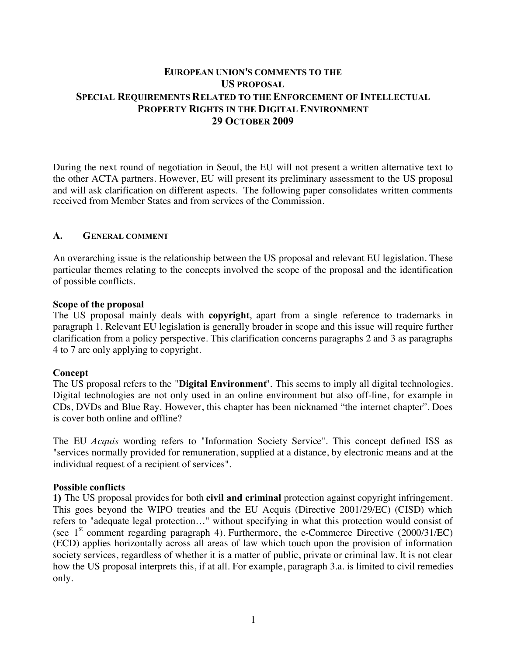# **EUROPEAN UNION'S COMMENTS TO THE US PROPOSAL SPECIAL REQUIREMENTS RELATED TO THE ENFORCEMENT OF INTELLECTUAL PROPERTY RIGHTS IN THE DIGITAL ENVIRONMENT 29 OCTOBER 2009**

During the next round of negotiation in Seoul, the EU will not present a written alternative text to the other ACTA partners. However, EU will present its preliminary assessment to the US proposal and will ask clarification on different aspects. The following paper consolidates written comments received from Member States and from services of the Commission.

#### **A. GENERAL COMMENT**

An overarching issue is the relationship between the US proposal and relevant EU legislation. These particular themes relating to the concepts involved the scope of the proposal and the identification of possible conflicts.

#### **Scope of the proposal**

The US proposal mainly deals with **copyright**, apart from a single reference to trademarks in paragraph 1. Relevant EU legislation is generally broader in scope and this issue will require further clarification from a policy perspective. This clarification concerns paragraphs 2 and 3 as paragraphs 4 to 7 are only applying to copyright.

#### $$

The US proposal refers to the "**Digital Environment**". This seems to imply all digital technologies. Digital technologies are not only used in an online environment but also off-line, for example in CDs, DVDs and Blue Ray. However, this chapter has been nicknamed "the internet chapter". Does is cover both online and offline?

The EU *Acquis* wording refers to "Information Society Service". This concept defined ISS as "services normally provided for remuneration, supplied at a distance, by electronic means and at the individual request of a recipient of services".

#### **Possible conflicts**

**1)** The US proposal provides for both **civil and criminal** protection against copyright infringement. This goes beyond the WIPO treaties and the EU Acquis (Directive 2001/29/EC) (CISD) which refers to "adequate legal protection…" without specifying in what this protection would consist of (see  $1<sup>st</sup>$  comment regarding paragraph 4). Furthermore, the e-Commerce Directive (2000/31/EC) (ECD) applies horizontally across all areas of law which touch upon the provision of information society services, regardless of whether it is a matter of public, private or criminal law. It is not clear how the US proposal interprets this, if at all. For example, paragraph 3.a. is limited to civil remedies only.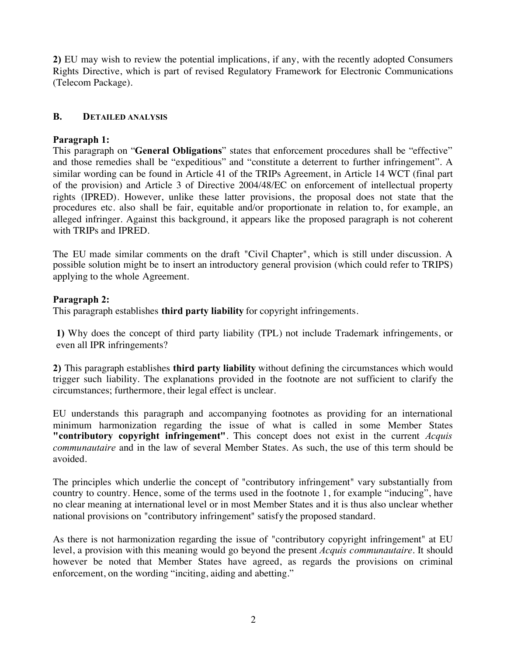**2)** EU may wish to review the potential implications, if any, with the recently adopted Consumers Rights Directive, which is part of revised Regulatory Framework for Electronic Communications (Telecom Package).

# **8. DETAILED ANALYSIS**

### **Paragraph 1:**

This paragraph on "**General Obligations**" states that enforcement procedures shall be "effective" and those remedies shall be "expeditious" and "constitute a deterrent to further infringement". A similar wording can be found in Article 41 of the TRIPs Agreement, in Article 14 WCT (final part of the provision) and Article 3 of Directive 2004/48/EC on enforcement of intellectual property rights (IPRED). However, unlike these latter provisions, the proposal does not state that the procedures etc. also shall be fair, equitable and/or proportionate in relation to, for example, an alleged infringer. Against this background, it appears like the proposed paragraph is not coherent with TRIPs and IPRED.

The EU made similar comments on the draft "Civil Chapter", which is still under discussion. A possible solution might be to insert an introductory general provision (which could refer to TRIPS) applying to the whole Agreement.

# **Paragraph 2:**

This paragraph establishes **third party liability** for copyright infringements.

**MN** Why does the concept of third party liability (TPL) not include Trademark infringements, or even all IPR infringements?

**2)** This paragraph establishes **third party liability** without defining the circumstances which would trigger such liability. The explanations provided in the footnote are not sufficient to clarify the circumstances; furthermore, their legal effect is unclear.

EU understands this paragraph and accompanying footnotes as providing for an international minimum harmonization regarding the issue of what is called in some Member States "contributory copyright infringement". This concept does not exist in the current *Acquis* communautaire and in the law of several Member States. As such, the use of this term should be avoided.

The principles which underlie the concept of "contributory infringement" vary substantially from country to country. Hence, some of the terms used in the footnote 1, for example "inducing", have no clear meaning at international level or in most Member States and it is thus also unclear whether national provisions on "contributory infringement" satisfy the proposed standard.

As there is not harmonization regarding the issue of "contributory copyright infringement" at EU level, a provision with this meaning would go beyond the present *Acquis communautaire*. It should however be noted that Member States have agreed, as regards the provisions on criminal enforcement, on the wording "inciting, aiding and abetting."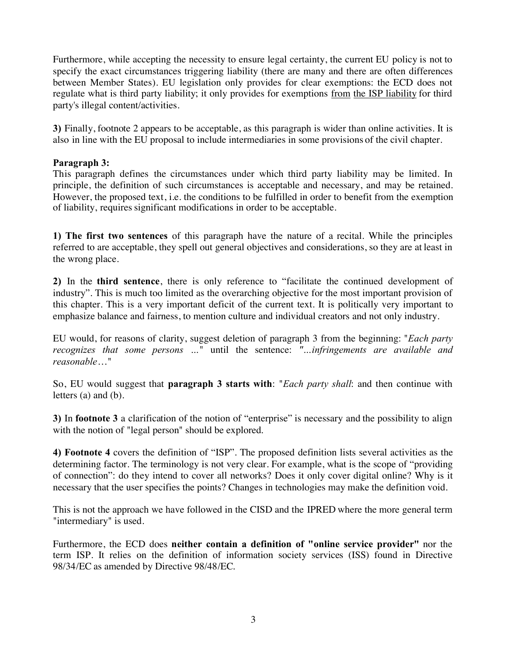Furthermore, while accepting the necessity to ensure legal certainty, the current EU policy is not to specify the exact circumstances triggering liability (there are many and there are often differences between Member States). EU legislation only provides for clear exemptions: the ECD does not regulate what is third party liability; it only provides for exemptions from the ISP liability for third party's illegal content/activities.

**3)** Finally, footnote 2 appears to be acceptable, as this paragraph is wider than online activities. It is also in line with the EU proposal to include intermediaries in some provisions of the civil chapter.

# **Paragraph 3:**

This paragraph defines the circumstances under which third party liability may be limited. In principle, the definition of such circumstances is acceptable and necessary, and may be retained. However, the proposed text, i.e. the conditions to be fulfilled in order to benefit from the exemption of liability, requires significant modifications in order to be acceptable.

**1) The first two sentences** of this paragraph have the nature of a recital. While the principles referred to are acceptable, they spell out general objectives and considerations, so they are at least in the wrong place.

**2)** In the **third sentence**, there is only reference to "facilitate the continued development of industry". This is much too limited as the overarching objective for the most important provision of this chapter. This is a very important deficit of the current text. It is politically very important to emphasize balance and fairness, to mention culture and individual creators and not only industry.

EU would, for reasons of clarity, suggest deletion of paragraph 3 from the beginning: "*Each party recognizes that some persons* ..." until the sentence: "...*infringements are available and*  $reasonable...$ "

So, EU would suggest that **paragraph 3 starts with**: "*Each party shall*: and then continue with letters (a) and (b).

**3)** In **footnote 3** a clarification of the notion of "enterprise" is necessary and the possibility to align with the notion of "legal person" should be explored.

**4) Footnote 4** covers the definition of "ISP". The proposed definition lists several activities as the determining factor. The terminology is not very clear. For example, what is the scope of "providing of connection": do they intend to cover all networks? Does it only cover digital online? Why is it necessary that the user specifies the points? Changes in technologies may make the definition void.

This is not the approach we have followed in the CISD and the IPRED where the more general term "intermediary" is used.

Furthermore, the ECD does **neither contain a definition of "online service provider"** nor the term ISP. It relies on the definition of information society services (ISS) found in Directive 98/34/EC as amended by Directive 98/48/EC.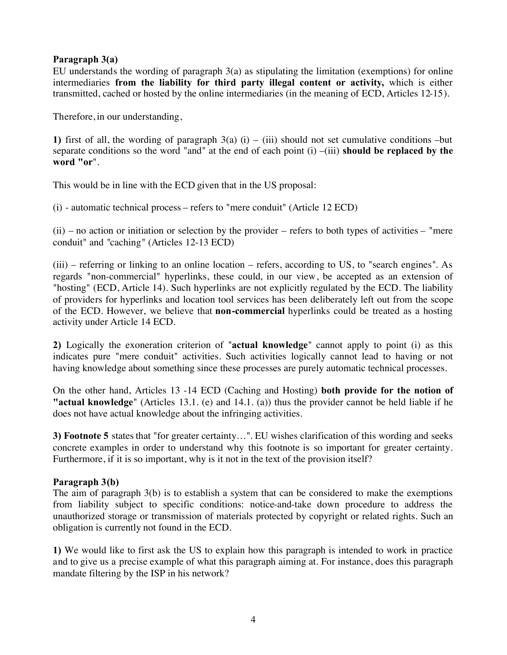# Paragraph 3(a)

EU understands the wording of paragraph 3(a) as stipulating the limitation (exemptions) for online intermediaries **from the liability for third party illegal content or activity,** which is either transmitted, cached or hosted by the online intermediaries (in the meaning of ECD, Articles 12-15).

Therefore, in our understanding,

**1)** first of all, the wording of paragraph  $3(a)$  (i) – (iii) should not set cumulative conditions –but separate conditions so the word "and" at the end of each point  $(i) - (iii)$  **should be replaced by the** word "or".

This would be in line with the ECD given that in the US proposal:

(i) - automatic technical process – refers to "mere conduit" (Article 12 ECD)

 $(ii)$  – no action or initiation or selection by the provider – refers to both types of activities – "mere" conduit" and "caching" (Articles 12-13 ECD)

(iii) – referring or linking to an online location – refers, according to US, to "search engines". As regards "non-commercial" hyperlinks, these could, in our view, be accepted as an extension of "hosting" (ECD, Article 14). Such hyperlinks are not explicitly regulated by the ECD. The liability of providers for hyperlinks and location tool services has been deliberately left out from the scope of the ECD. However, we believe that **non-commercial** hyperlinks could be treated as a hosting activity under Article 14 ECD.

**2)** Logically the exoneration criterion of "**actual knowledge**" cannot apply to point (i) as this indicates pure "mere conduit" activities. Such activities logically cannot lead to having or not having knowledge about something since these processes are purely automatic technical processes.

On the other hand, Articles 13 -14 ECD (Caching and Hosting) **both provide for the notion of** "**actual knowledge**" (Articles 13.1. (e) and 14.1. (a)) thus the provider cannot be held liable if he does not have actual knowledge about the infringing activities.

3) Footnote 5 states that "for greater certainty...". EU wishes clarification of this wording and seeks concrete examples in order to understand why this footnote is so important for greater certainty. Furthermore, if it is so important, why is it not in the text of the provision itself?

#### Paragraph 3(b)

The aim of paragraph 3(b) is to establish a system that can be considered to make the exemptions from liability subject to specific conditions: notice-and-take down procedure to address the unauthorized storage or transmission of materials protected by copyright or related rights. Such an obligation is currently not found in the ECD.

**1)** We would like to first ask the US to explain how this paragraph is intended to work in practice and to give us a precise example of what this paragraph aiming at. For instance, does this paragraph mandate filtering by the ISP in his network?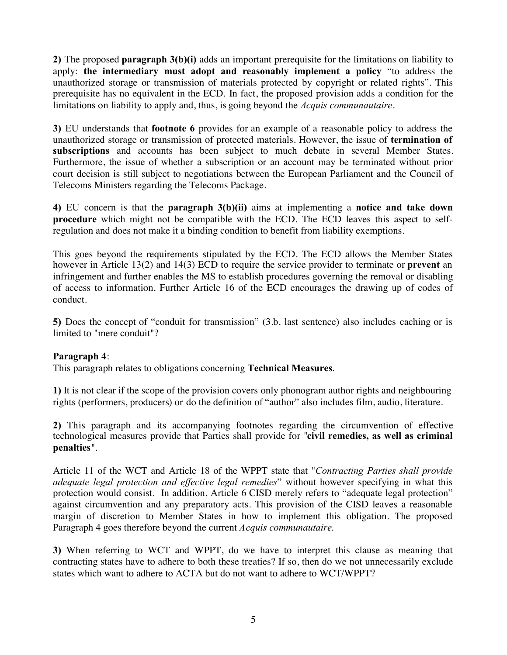**2)** The proposed **paragraph 3(b)(i)** adds an important prerequisite for the limitations on liability to apply: **the intermediary must adopt and reasonably implement a policy** "to address the unauthorized storage or transmission of materials protected by copyright or related rights". This prerequisite has no equivalent in the ECD. In fact, the proposed provision adds a condition for the limitations on liability to apply and, thus, is going beyond the *Acquis communautaire*.

**3)** EU understands that **footnote 6** provides for an example of a reasonable policy to address the unauthorized storage or transmission of protected materials. However, the issue of *termination of* subscriptions and accounts has been subject to much debate in several Member States. Furthermore, the issue of whether a subscription or an account may be terminated without prior court decision is still subject to negotiations between the European Parliament and the Council of Telecoms Ministers regarding the Telecoms Package.

**4)** EU concern is that the **paragraph 3(b)(ii)** aims at implementing a **notice and take down procedure** which might not be compatible with the ECD. The ECD leaves this aspect to selfregulation and does not make it a binding condition to benefit from liability exemptions.

This goes beyond the requirements stipulated by the ECD. The ECD allows the Member States however in Article 13(2) and 14(3) ECD to require the service provider to terminate or **prevent** an infringement and further enables the MS to establish procedures governing the removal or disabling of access to information. Further Article 16 of the ECD encourages the drawing up of codes of conduct.

**5)** Does the concept of "conduit for transmission" (3.b. last sentence) also includes caching or is limited to "mere conduit"?

# **Paragraph 4:**

This paragraph relates to obligations concerning **Technical Measures**.

**1)** It is not clear if the scope of the provision covers only phonogram author rights and neighbouring rights (performers, producers) or do the definition of "author" also includes film, audio, literature.

2) This paragraph and its accompanying footnotes regarding the circumvention of effective technological measures provide that Parties shall provide for "civil remedies, as well as criminal penalties".

Article 11 of the WCT and Article 18 of the WPPT state that "*Contracting Parties shall provide adequate legal protection and effective legal remedies*" without however specifying in what this protection would consist. In addition, Article 6 CISD merely refers to "adequate legal protection" against circumvention and any preparatory acts. This provision of the CISD leaves a reasonable margin of discretion to Member States in how to implement this obligation. The proposed Paragraph 4 goes therefore beyond the current *Acquis communautaire*.

**3)** When referring to WCT and WPPT, do we have to interpret this clause as meaning that contracting states have to adhere to both these treaties? If so, then do we not unnecessarily exclude states which want to adhere to ACTA but do not want to adhere to WCT/WPPT?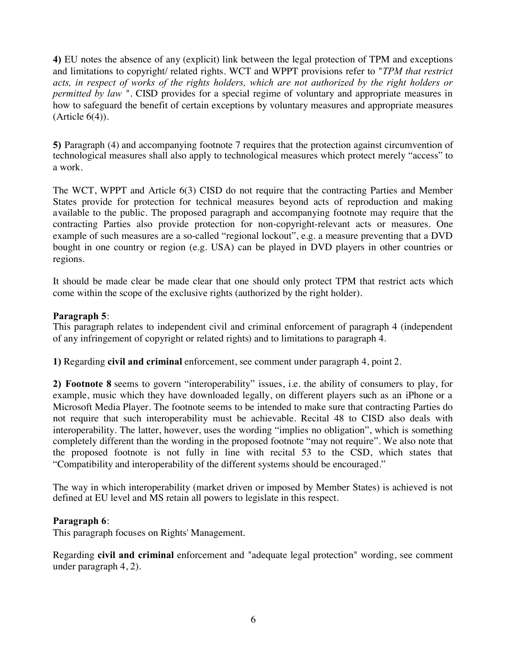**UN** EU notes the absence of any (explicit) link between the legal protection of TPM and exceptions and limitations to copyright/ related rights. WCT and WPPT provisions refer to "*TPM that restrict* acts, in respect of works of the rights holders, which are not authorized by the right holders or *permitted by law* ". CISD provides for a special regime of voluntary and appropriate measures in how to safeguard the benefit of certain exceptions by voluntary measures and appropriate measures  $(A<sup>r</sup>$ ticle  $6(4)$ ).

**5)** Paragraph (4) and accompanying footnote 7 requires that the protection against circumvention of technological measures shall also apply to technological measures which protect merely "access" to a work.

The WCT, WPPT and Article 6(3) CISD do not require that the contracting Parties and Member States provide for protection for technical measures beyond acts of reproduction and making available to the public. The proposed paragraph and accompanying footnote may require that the contracting Parties also provide protection for non-copyright-relevant acts or measures. One example of such measures are a so-called "regional lockout", e.g. a measure preventing that a DVD bought in one country or region (e.g. USA) can be played in DVD players in other countries or regions.

It should be made clear be made clear that one should only protect TPM that restrict acts which come within the scope of the exclusive rights (authorized by the right holder).

# **Paragraph 5:**

This paragraph relates to independent civil and criminal enforcement of paragraph 4 (independent of any infringement of copyright or related rights) and to limitations to paragraph 4.

**1)** Regarding **civil and criminal** enforcement, see comment under paragraph 4, point 2.

**2) Footnote 8** seems to govern "interoperability" issues, i.e. the ability of consumers to play, for example, music which they have downloaded legally, on different players such as an iPhone or a Microsoft Media Player. The footnote seems to be intended to make sure that contracting Parties do not require that such interoperability must be achievable. Recital 48 to CISD also deals with interoperability. The latter, however, uses the wording "implies no obligation", which is something completely different than the wording in the proposed footnote "may not require". We also note that the proposed footnote is not fully in line with recital 53 to the CSD, which states that "Compatibility and interoperability of the different systems should be encouraged."

The way in which interoperability (market driven or imposed by Member States) is achieved is not defined at EU level and MS retain all powers to legislate in this respect.

#### **Paragraph 6:**

This paragraph focuses on Rights' Management.

Regarding **civil and criminal** enforcement and "adequate legal protection" wording, see comment under paragraph 4, 2).